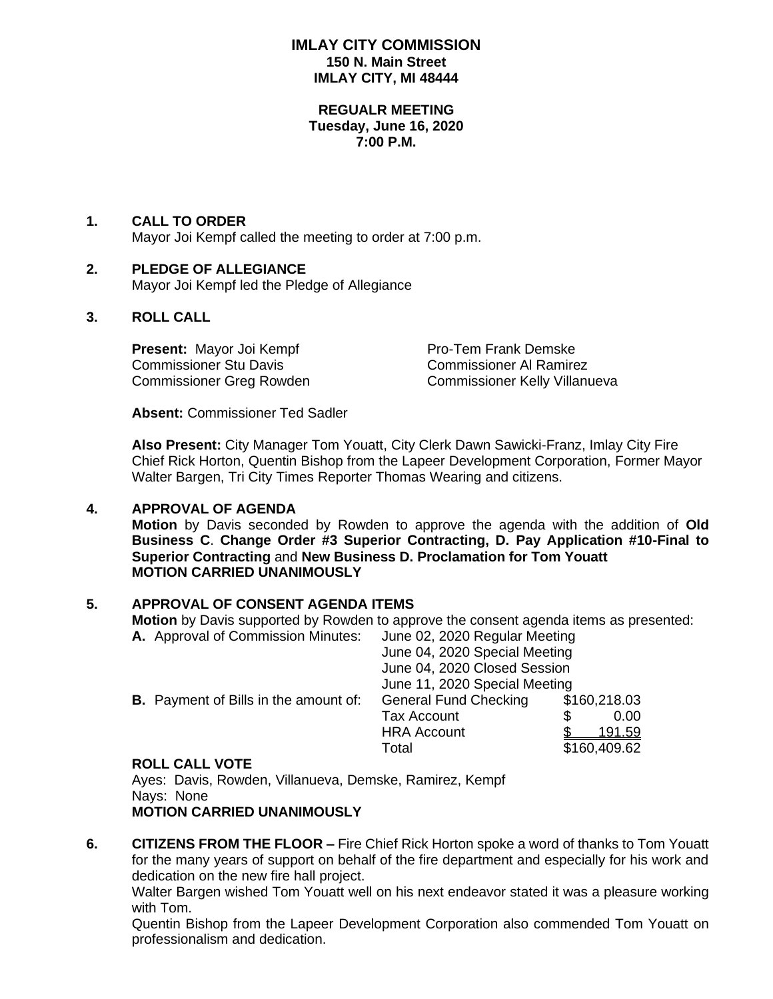### **IMLAY CITY COMMISSION 150 N. Main Street IMLAY CITY, MI 48444**

#### **REGUALR MEETING Tuesday, June 16, 2020 7:00 P.M.**

### **1. CALL TO ORDER**

Mayor Joi Kempf called the meeting to order at 7:00 p.m.

### **2. PLEDGE OF ALLEGIANCE**

Mayor Joi Kempf led the Pledge of Allegiance

### **3. ROLL CALL**

**Present:** Mayor Joi Kempf **Proman Pro-Tem Frank Demske** Commissioner Stu Davis Commissioner Al Ramirez

Commissioner Greg Rowden Commissioner Kelly Villanueva

**Absent:** Commissioner Ted Sadler

**Also Present:** City Manager Tom Youatt, City Clerk Dawn Sawicki-Franz, Imlay City Fire Chief Rick Horton, Quentin Bishop from the Lapeer Development Corporation, Former Mayor Walter Bargen, Tri City Times Reporter Thomas Wearing and citizens.

### **4. APPROVAL OF AGENDA**

**Motion** by Davis seconded by Rowden to approve the agenda with the addition of **Old Business C**. **Change Order #3 Superior Contracting, D. Pay Application #10-Final to Superior Contracting** and **New Business D. Proclamation for Tom Youatt MOTION CARRIED UNANIMOUSLY**

### **5. APPROVAL OF CONSENT AGENDA ITEMS**

**Motion** by Davis supported by Rowden to approve the consent agenda items as presented: **A.** Approval of Commission Minutes: June 02, 2020 Regular Meeting

|                                              |                              | June 04, 2020 Special Meeting<br>June 04, 2020 Closed Session<br>June 11, 2020 Special Meeting |                |  |
|----------------------------------------------|------------------------------|------------------------------------------------------------------------------------------------|----------------|--|
|                                              |                              |                                                                                                |                |  |
|                                              |                              |                                                                                                |                |  |
| <b>B.</b> Payment of Bills in the amount of: | <b>General Fund Checking</b> |                                                                                                | \$160,218.03   |  |
|                                              | <b>Tax Account</b>           |                                                                                                | 0.00           |  |
|                                              | <b>HRA Account</b>           |                                                                                                | <u> 191.59</u> |  |
|                                              | Total                        |                                                                                                | \$160,409.62   |  |

#### **ROLL CALL VOTE**

Ayes: Davis, Rowden, Villanueva, Demske, Ramirez, Kempf Nays: None **MOTION CARRIED UNANIMOUSLY**

**6. CITIZENS FROM THE FLOOR –** Fire Chief Rick Horton spoke a word of thanks to Tom Youatt for the many years of support on behalf of the fire department and especially for his work and dedication on the new fire hall project.

Walter Bargen wished Tom Youatt well on his next endeavor stated it was a pleasure working with Tom.

Quentin Bishop from the Lapeer Development Corporation also commended Tom Youatt on professionalism and dedication.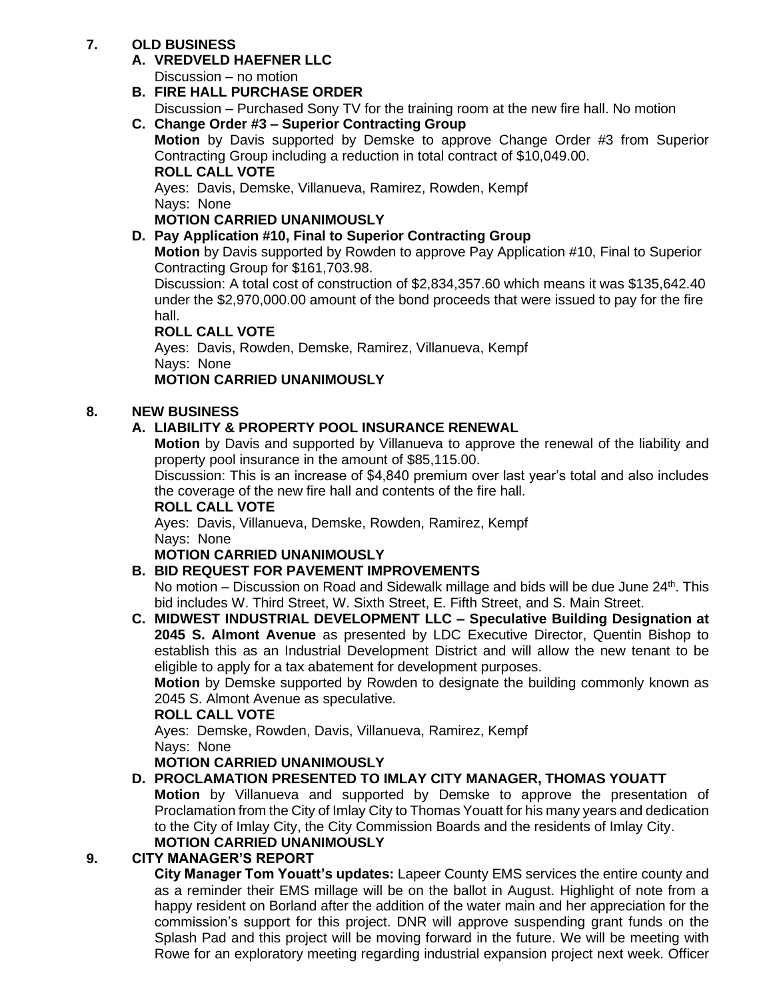# **7. OLD BUSINESS**

# **A. VREDVELD HAEFNER LLC**

Discussion – no motion

# **B. FIRE HALL PURCHASE ORDER**

Discussion – Purchased Sony TV for the training room at the new fire hall. No motion

# **C. Change Order #3 – Superior Contracting Group**

**Motion** by Davis supported by Demske to approve Change Order #3 from Superior Contracting Group including a reduction in total contract of \$10,049.00. **ROLL CALL VOTE**

Ayes: Davis, Demske, Villanueva, Ramirez, Rowden, Kempf Nays: None

# **MOTION CARRIED UNANIMOUSLY**

# **D. Pay Application #10, Final to Superior Contracting Group**

**Motion** by Davis supported by Rowden to approve Pay Application #10, Final to Superior Contracting Group for \$161,703.98.

Discussion: A total cost of construction of \$2,834,357.60 which means it was \$135,642.40 under the \$2,970,000.00 amount of the bond proceeds that were issued to pay for the fire hall.

### **ROLL CALL VOTE**

Ayes: Davis, Rowden, Demske, Ramirez, Villanueva, Kempf Nays: None

### **MOTION CARRIED UNANIMOUSLY**

# **8. NEW BUSINESS**

# **A. LIABILITY & PROPERTY POOL INSURANCE RENEWAL**

**Motion** by Davis and supported by Villanueva to approve the renewal of the liability and property pool insurance in the amount of \$85,115.00.

Discussion: This is an increase of \$4,840 premium over last year's total and also includes the coverage of the new fire hall and contents of the fire hall.

### **ROLL CALL VOTE**

Ayes: Davis, Villanueva, Demske, Rowden, Ramirez, Kempf Nays: None

### **MOTION CARRIED UNANIMOUSLY**

# **B. BID REQUEST FOR PAVEMENT IMPROVEMENTS**

No motion – Discussion on Road and Sidewalk millage and bids will be due June  $24^{\text{th}}$ . This bid includes W. Third Street, W. Sixth Street, E. Fifth Street, and S. Main Street.

**C. MIDWEST INDUSTRIAL DEVELOPMENT LLC – Speculative Building Designation at 2045 S. Almont Avenue** as presented by LDC Executive Director, Quentin Bishop to establish this as an Industrial Development District and will allow the new tenant to be eligible to apply for a tax abatement for development purposes.

**Motion** by Demske supported by Rowden to designate the building commonly known as 2045 S. Almont Avenue as speculative.

# **ROLL CALL VOTE**

Ayes: Demske, Rowden, Davis, Villanueva, Ramirez, Kempf Nays: None

# **MOTION CARRIED UNANIMOUSLY**

**D. PROCLAMATION PRESENTED TO IMLAY CITY MANAGER, THOMAS YOUATT Motion** by Villanueva and supported by Demske to approve the presentation of Proclamation from the City of Imlay City to Thomas Youatt for his many years and dedication to the City of Imlay City, the City Commission Boards and the residents of Imlay City. **MOTION CARRIED UNANIMOUSLY**

# **9. CITY MANAGER'S REPORT**

**City Manager Tom Youatt's updates:** Lapeer County EMS services the entire county and as a reminder their EMS millage will be on the ballot in August. Highlight of note from a happy resident on Borland after the addition of the water main and her appreciation for the commission's support for this project. DNR will approve suspending grant funds on the Splash Pad and this project will be moving forward in the future. We will be meeting with Rowe for an exploratory meeting regarding industrial expansion project next week. Officer